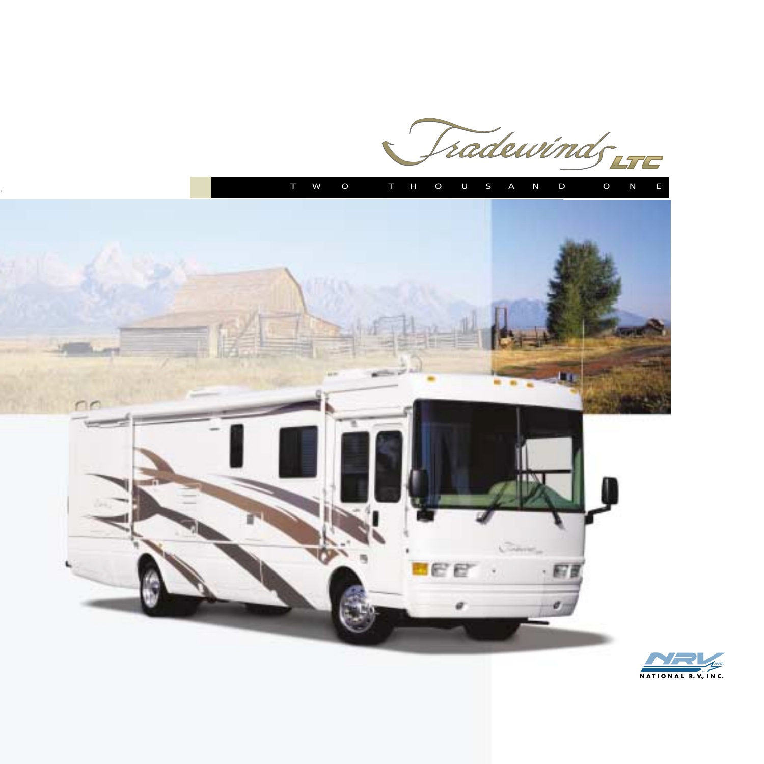radewinds LTE





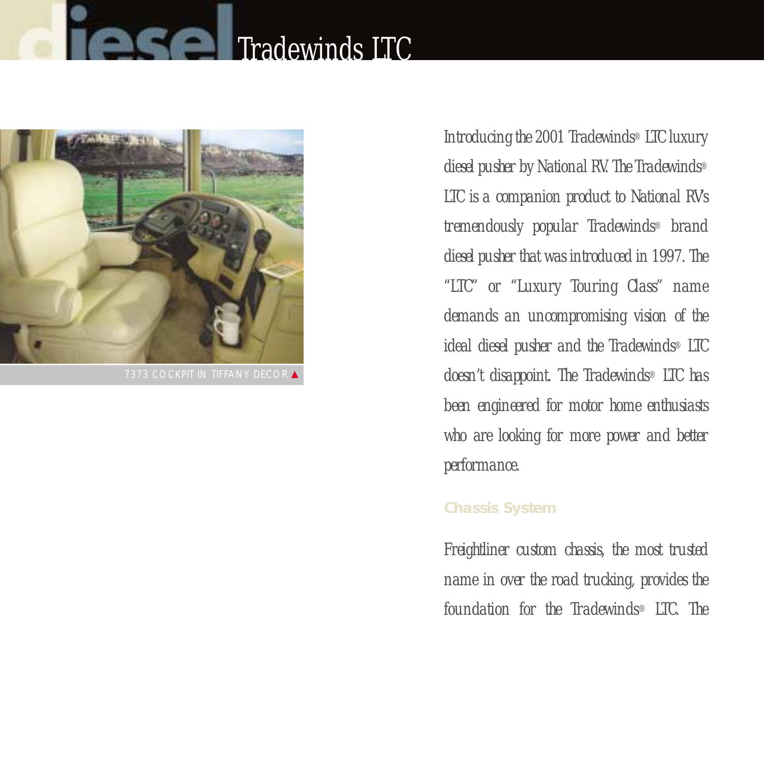# **Tradewinds LTC**



**7373 COCKPIT IN TIFFANY DECOR ▲** 

*Introducing the 2001 Tradewinds® LTC luxury diesel pusher by National RV. The Tradewinds® LTC is a companion product to National RV's tremendously popular Tradewinds® brand diesel pusher that was introduced in 1997. The "LTC" or "Luxury Touring Class" name demands an uncompromising vision of the ideal diesel pusher and the Tradewinds® LTC doesn't disappoint. The Tradewinds® LTC has been engineered for motor home enthusiasts who are looking for more power and better performance.*

#### **Chassis System**

*Freightliner custom chassis, the most trusted name in over the road trucking, provides the foundation for the Tradewinds® LTC. The*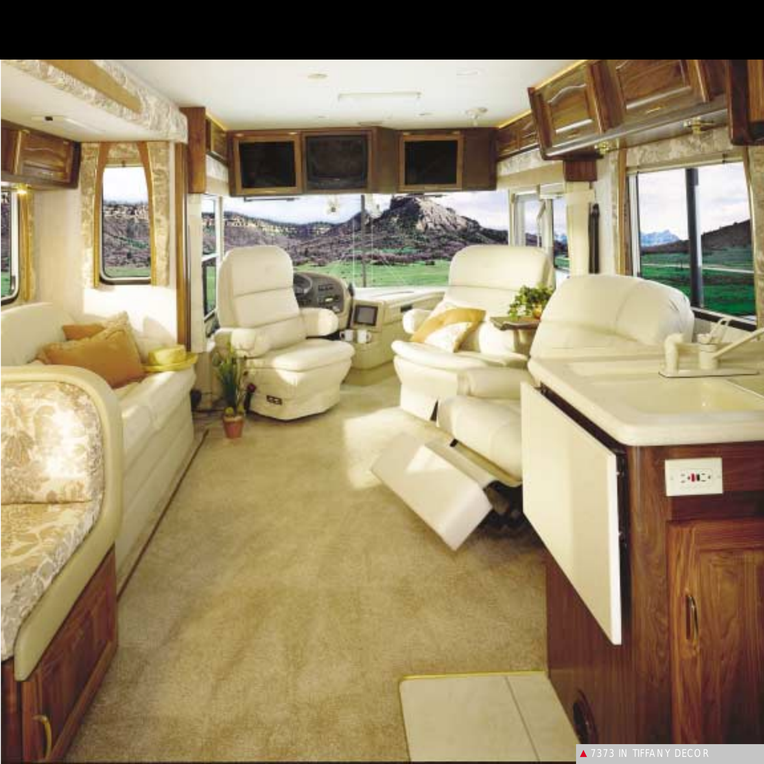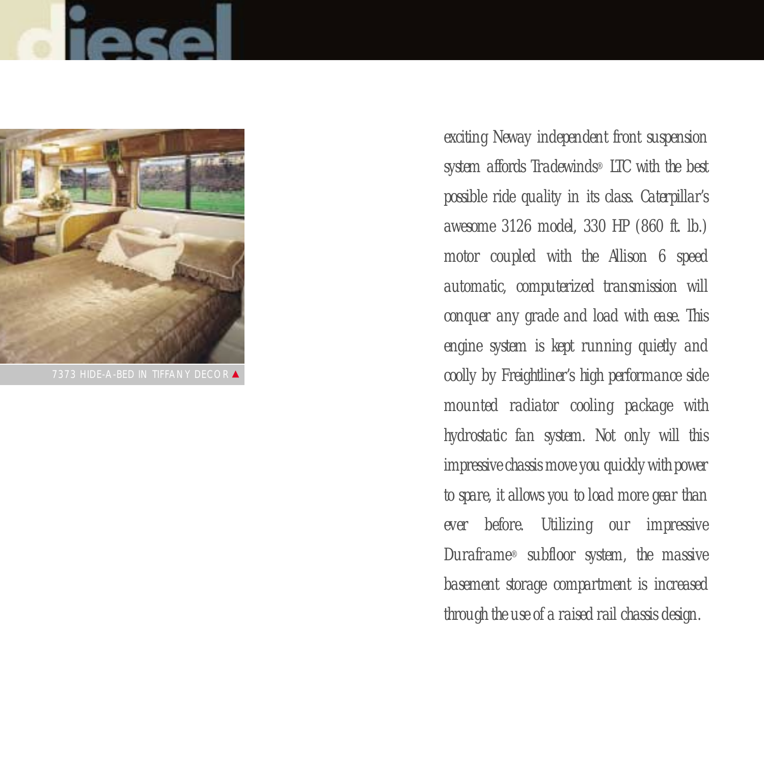



7373 HIDE-A-BED IN TIFFANY DECOR ▲

*exciting Neway independent front suspension system affords Tradewinds® LTC with the best possible ride quality in its class. Caterpillar's awesome 3126 model, 330 HP (860 ft. lb.) motor coupled with the Allison 6 speed automatic, computerized transmission will conquer any grade and load with ease. This engine system is kept running quietly and coolly by Freightliner's high performance side mounted radiator cooling package with hydrostatic fan system. Not only will this impressive chassis move you quickly with power to spare, it allows you to load more gear than ever before. Utilizing our impressive Duraframe® subfloor system, the massive basement storage compartment is increased through the use of a raised rail chassis design.*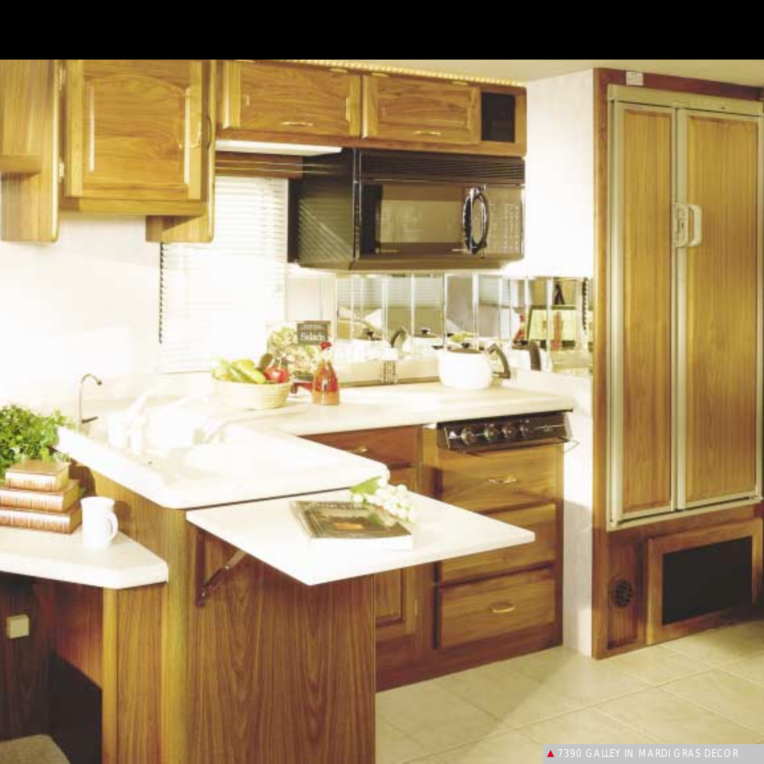▲ 7390 GALLEY IN MARDI GRAS DECOR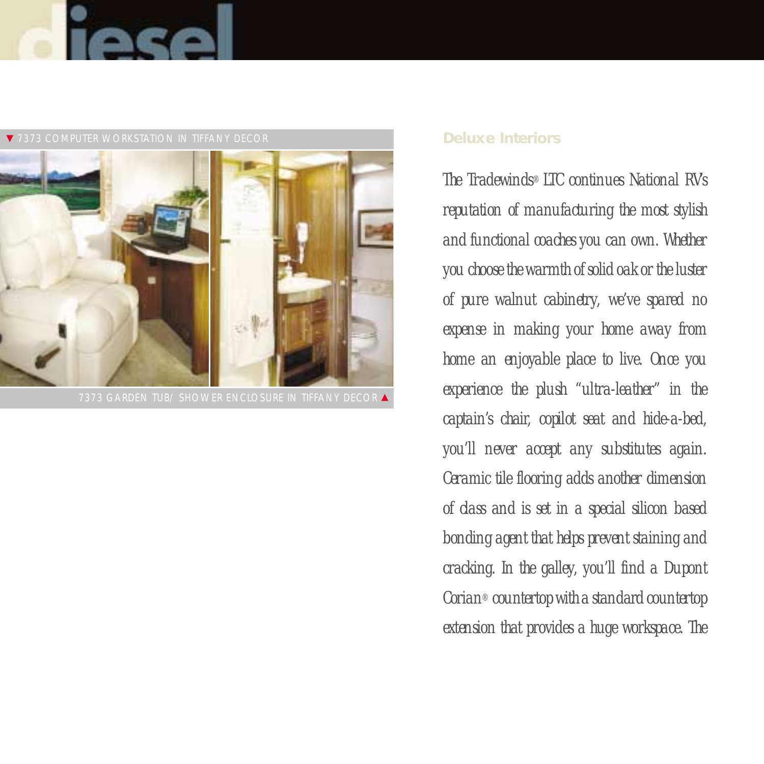



#### ▼ 7373 COMPUTER WORKSTATION IN TIFFANY DECOR

#### **Deluxe Interiors**

*The Tradewinds® LTC continues National RV's reputation of manufacturing the most stylish and functional coaches you can own. Whether you choose the warmth of solid oak or the luster of pure walnut cabinetry, we've spared no expense in making your home away from home an enjoyable place to live. Once you experience the plush "ultra-leather" in the captain's chair, copilot seat and hide-a-bed, you'll never accept any substitutes again. Ceramic tile flooring adds another dimension of class and is set in a special silicon based bonding agent that helps prevent staining and cracking. In the galley, you'll find a Dupont Corian® countertop with a standard countertop extension that provides a huge workspace. The*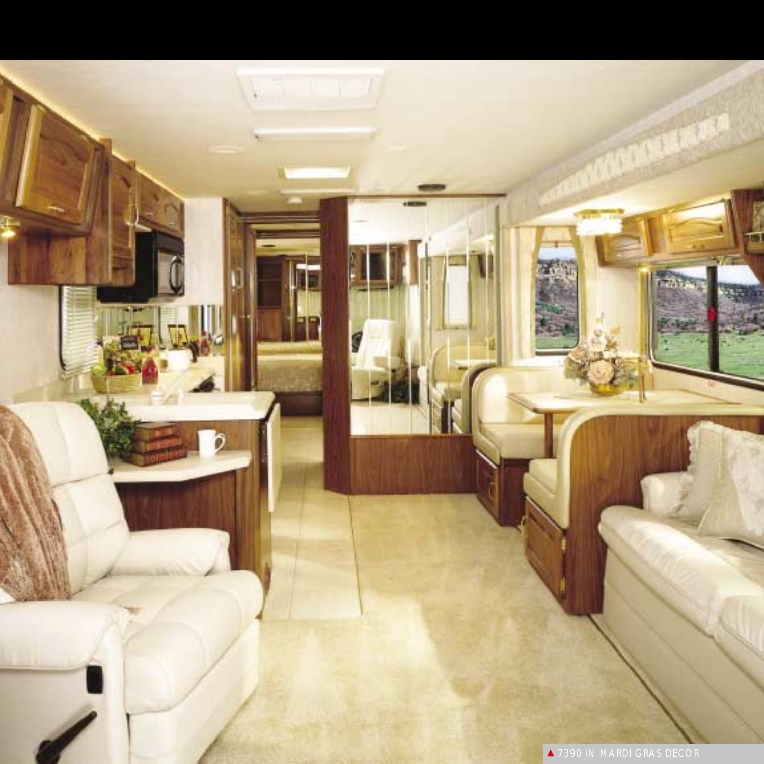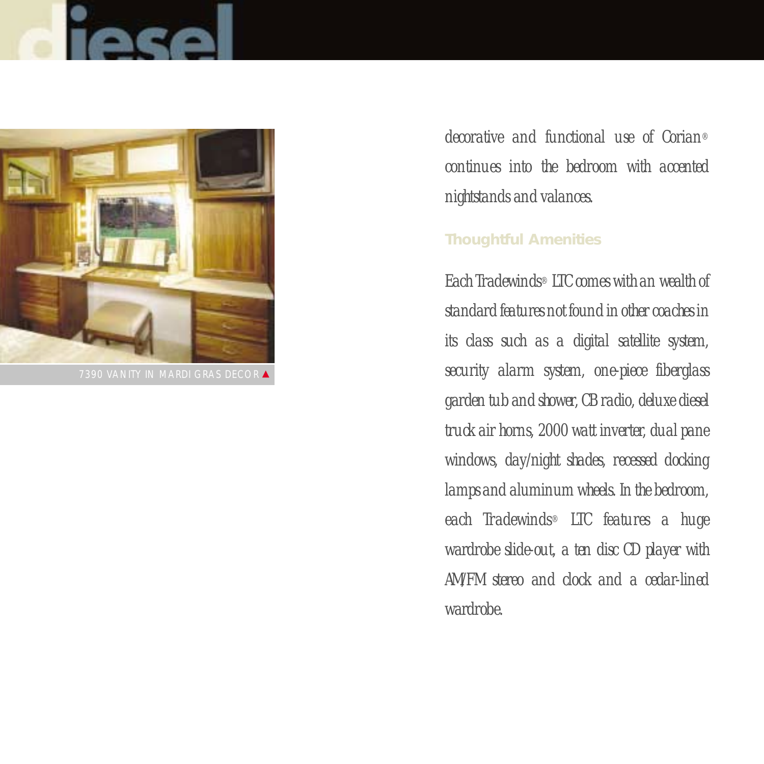

7390 VANITY IN MARDI GRAS DECOR ▲

*decorative and functional use of Corian® continues into the bedroom with accented nightstands and valances.*

### **Thoughtful Amenities**

*Each Tradewinds® LTC comes with an wealth of standard features not found in other coaches in its class such as a digital satellite system, security alarm system, one-piece fiberglass garden tub and shower, CB radio, deluxe diesel truck air horns, 2000 watt inverter, dual pane windows, day/night shades, recessed docking lamps and aluminum wheels. In the bedroom, each Tradewinds® LTC features a huge wardrobe slide-out, a ten disc CD player with AM/FM stereo and clock and a cedar-lined wardrobe.*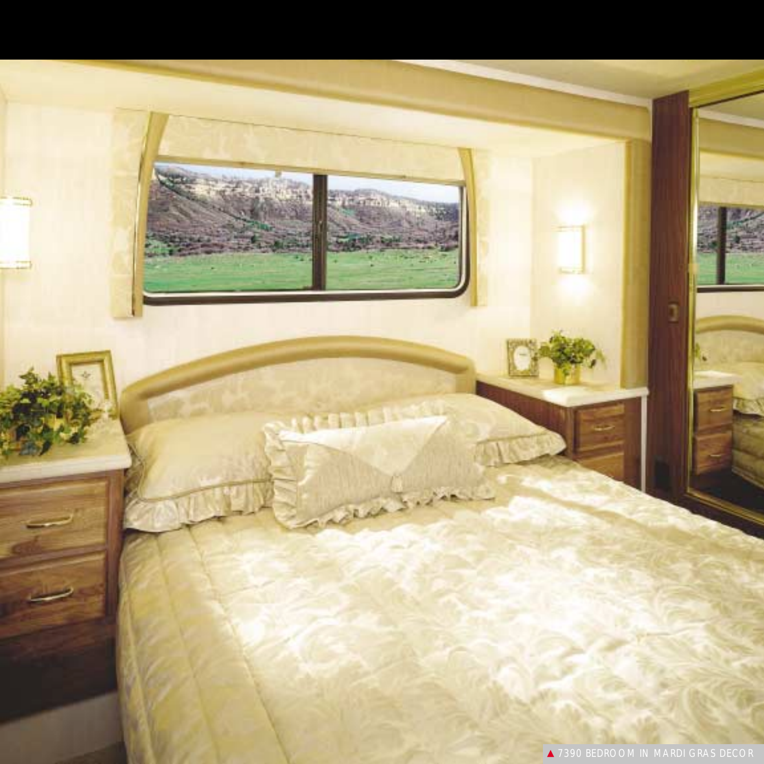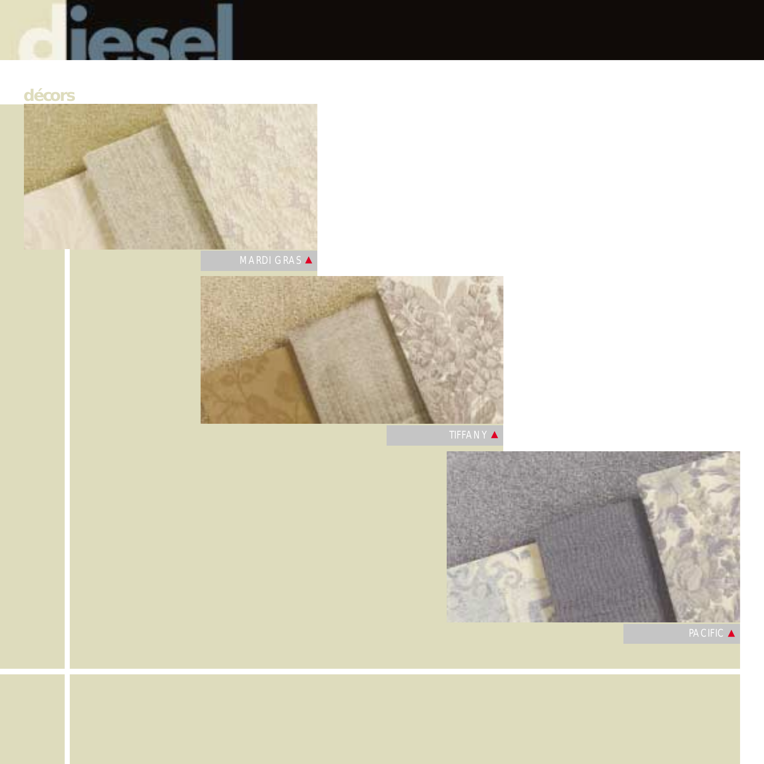

## **décors**



MARDI GRAS ▲



TIFFANY ▲



**PACIFIC**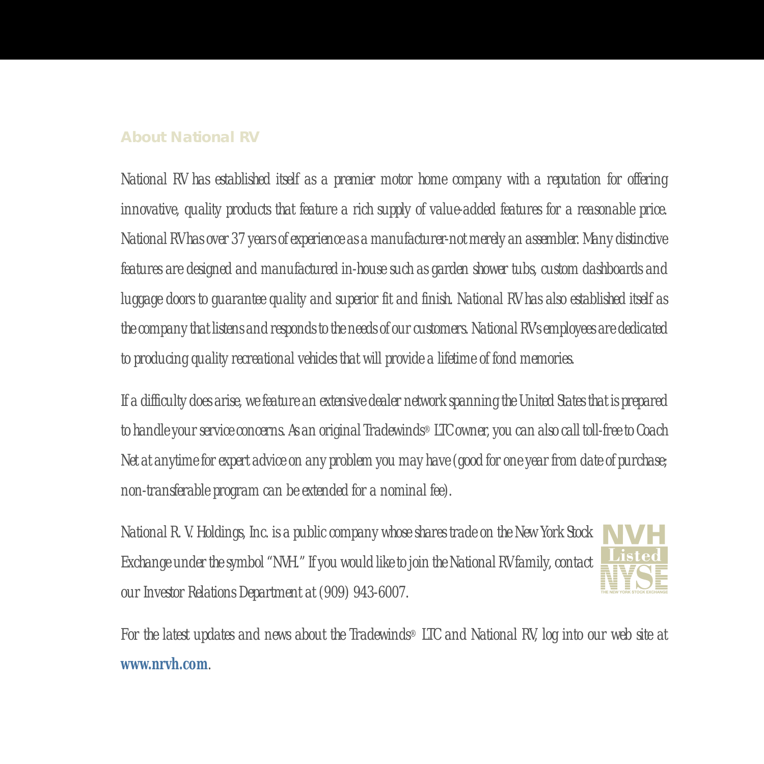#### **About National RV**

*National RV has established itself as a premier motor home company with a reputation for offering innovative, quality products that feature a rich supply of value-added features for a reasonable price. National RV has over 37 years of experience as a manufacturer-not merely an assembler. Many distinctive features are designed and manufactured in-house such as garden shower tubs, custom dashboards and luggage doors to guarantee quality and superior fit and finish. National RV has also established itself as the company that listens and responds to the needs of our customers. National RV's employees are dedicated to producing quality recreational vehicles that will provide a lifetime of fond memories.*

*If a difficulty does arise, we feature an extensive dealer network spanning the United States that is prepared to handle your service concerns. As an original Tradewinds® LTC owner, you can also call toll-free to Coach Net at anytime for expert advice on any problem you may have (good for one year from date of purchase; non-transferable program can be extended for a nominal fee).*

*National R. V. Holdings, Inc. is a public company whose shares trade on the New York Stock Exchange under the symbol "NVH." If you would like to join the National RV family, contact our Investor Relations Department at (909) 943-6007.*



*For the latest updates and news about the Tradewinds® LTC and National RV, log into our web site at* **www.nrvh.com***.*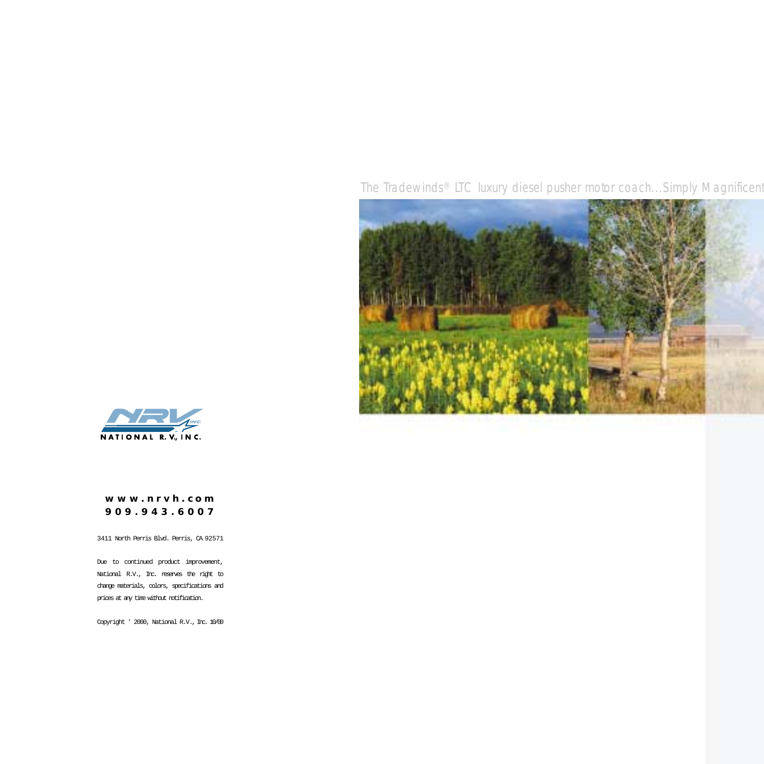*The Tradewinds® LTC luxury diesel pusher motor coach...Simply Magnificent*





#### **www.nrvh .com 909.943.6007**

3411 North Perris Blvd. Perris, CA 92571

Due to continued product improvement, National R.V., Inc. reserves the right to change materials, colors, specifications and prices at any time without notification.

Copyright ' 2000, National R.V., Inc. 10/00